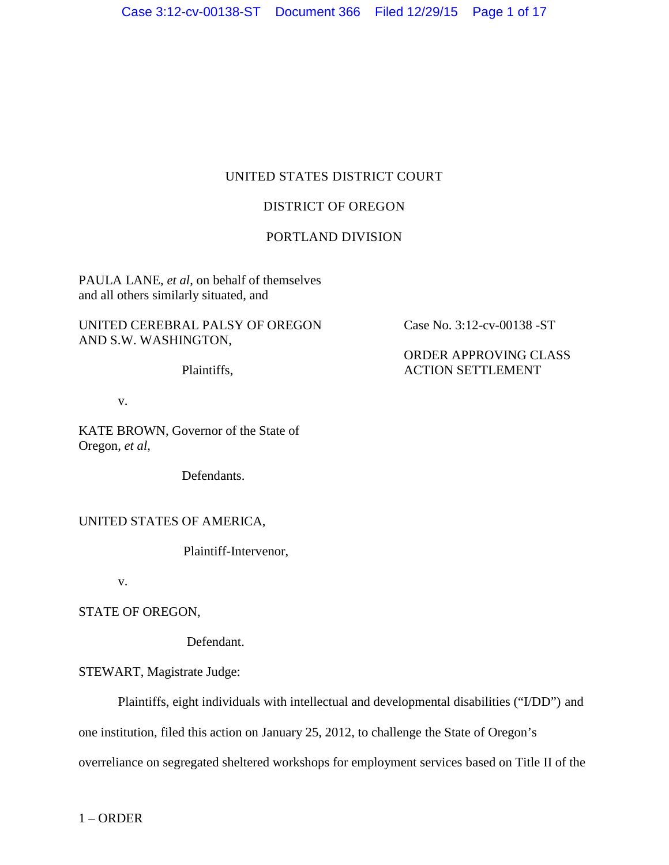# UNITED STATES DISTRICT COURT

# DISTRICT OF OREGON

# PORTLAND DIVISION

PAULA LANE, *et al*, on behalf of themselves and all others similarly situated, and

UNITED CEREBRAL PALSY OF OREGON AND S.W. WASHINGTON,

Plaintiffs,

v.

KATE BROWN, Governor of the State of Oregon, *et al*,

Defendants.

### UNITED STATES OF AMERICA,

Plaintiff-Intervenor,

v.

STATE OF OREGON,

Defendant.

STEWART, Magistrate Judge:

Plaintiffs, eight individuals with intellectual and developmental disabilities ("I/DD") and one institution, filed this action on January 25, 2012, to challenge the State of Oregon's overreliance on segregated sheltered workshops for employment services based on Title II of the

Case No. 3:12-cv-00138 -ST

ORDER APPROVING CLASS ACTION SETTLEMENT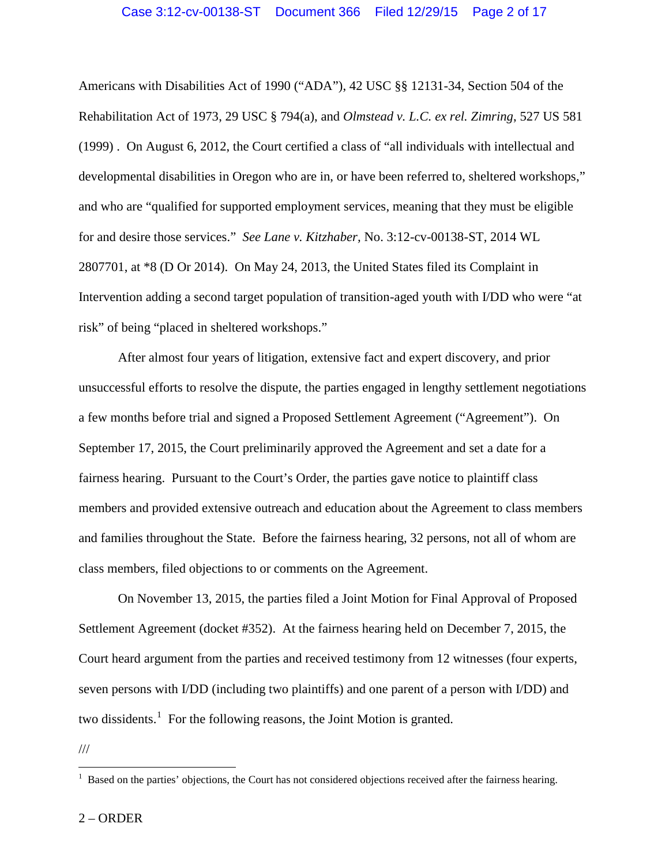Americans with Disabilities Act of 1990 ("ADA"), 42 USC §§ 12131-34, Section 504 of the Rehabilitation Act of 1973, 29 USC § 794(a), and *Olmstead v. L.C. ex rel. Zimring*, 527 US 581 (1999) . On August 6, 2012, the Court certified a class of "all individuals with intellectual and developmental disabilities in Oregon who are in, or have been referred to, sheltered workshops," and who are "qualified for supported employment services, meaning that they must be eligible for and desire those services." *See Lane v. Kitzhaber,* No. 3:12-cv-00138-ST, 2014 WL 2807701, at \*8 (D Or 2014). On May 24, 2013, the United States filed its Complaint in Intervention adding a second target population of transition-aged youth with I/DD who were "at risk" of being "placed in sheltered workshops."

After almost four years of litigation, extensive fact and expert discovery, and prior unsuccessful efforts to resolve the dispute, the parties engaged in lengthy settlement negotiations a few months before trial and signed a Proposed Settlement Agreement ("Agreement"). On September 17, 2015, the Court preliminarily approved the Agreement and set a date for a fairness hearing. Pursuant to the Court's Order, the parties gave notice to plaintiff class members and provided extensive outreach and education about the Agreement to class members and families throughout the State. Before the fairness hearing, 32 persons, not all of whom are class members, filed objections to or comments on the Agreement.

On November 13, 2015, the parties filed a Joint Motion for Final Approval of Proposed Settlement Agreement (docket #352). At the fairness hearing held on December 7, 2015, the Court heard argument from the parties and received testimony from 12 witnesses (four experts, seven persons with I/DD (including two plaintiffs) and one parent of a person with I/DD) and two dissidents.<sup>1</sup> For the following reasons, the Joint Motion is granted.

<sup>///</sup>

<sup>&</sup>lt;sup>1</sup> Based on the parties' objections, the Court has not considered objections received after the fairness hearing.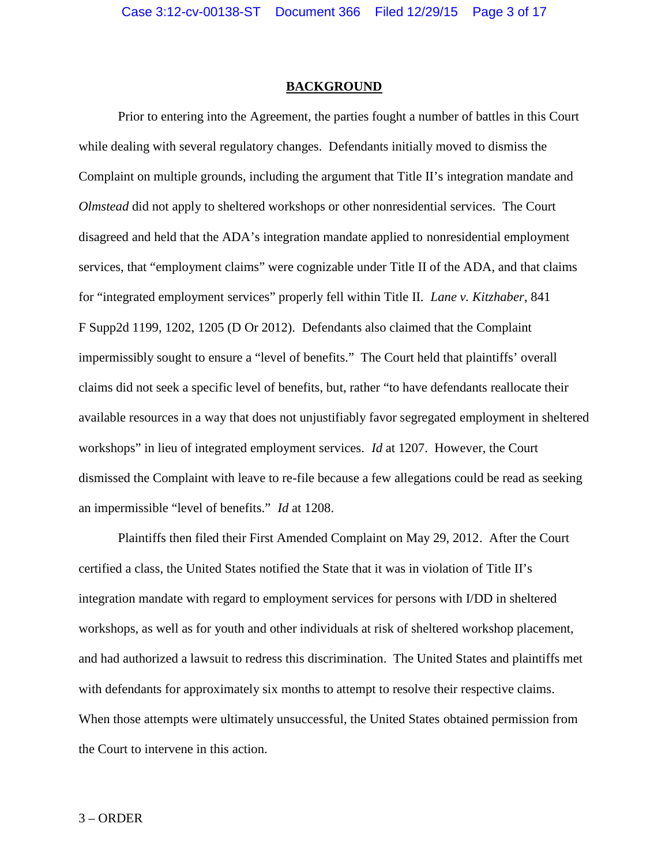#### **BACKGROUND**

Prior to entering into the Agreement, the parties fought a number of battles in this Court while dealing with several regulatory changes. Defendants initially moved to dismiss the Complaint on multiple grounds, including the argument that Title II's integration mandate and *Olmstead* did not apply to sheltered workshops or other nonresidential services. The Court disagreed and held that the ADA's integration mandate applied to nonresidential employment services, that "employment claims" were cognizable under Title II of the ADA, and that claims for "integrated employment services" properly fell within Title II. *Lane v. Kitzhaber*, 841 F Supp2d 1199, 1202, 1205 (D Or 2012). Defendants also claimed that the Complaint impermissibly sought to ensure a "level of benefits." The Court held that plaintiffs' overall claims did not seek a specific level of benefits, but, rather "to have defendants reallocate their available resources in a way that does not unjustifiably favor segregated employment in sheltered workshops" in lieu of integrated employment services. *Id* at 1207. However, the Court dismissed the Complaint with leave to re-file because a few allegations could be read as seeking an impermissible "level of benefits." *Id* at 1208.

Plaintiffs then filed their First Amended Complaint on May 29, 2012. After the Court certified a class, the United States notified the State that it was in violation of Title II's integration mandate with regard to employment services for persons with I/DD in sheltered workshops, as well as for youth and other individuals at risk of sheltered workshop placement, and had authorized a lawsuit to redress this discrimination. The United States and plaintiffs met with defendants for approximately six months to attempt to resolve their respective claims. When those attempts were ultimately unsuccessful, the United States obtained permission from the Court to intervene in this action.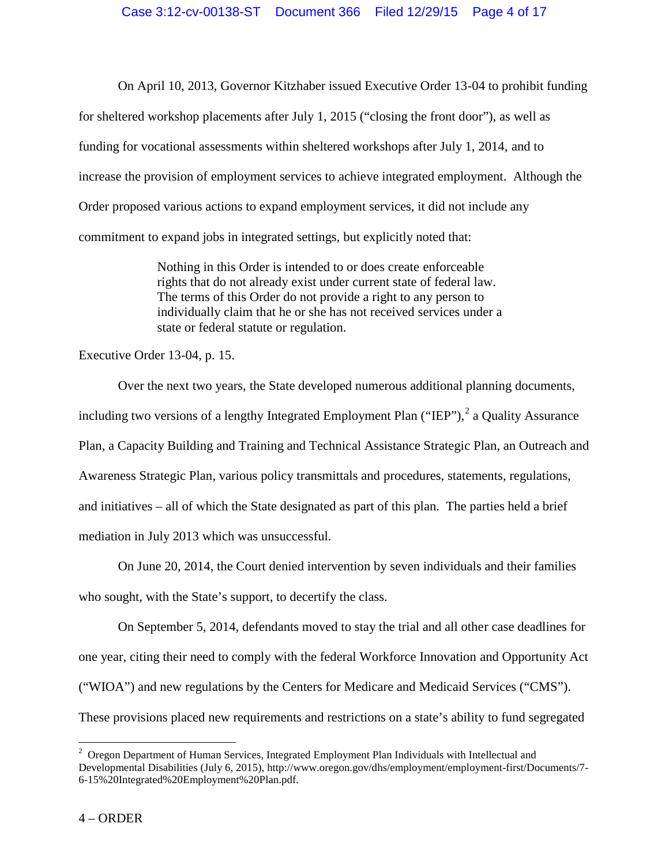On April 10, 2013, Governor Kitzhaber issued Executive Order 13-04 to prohibit funding for sheltered workshop placements after July 1, 2015 ("closing the front door"), as well as funding for vocational assessments within sheltered workshops after July 1, 2014, and to increase the provision of employment services to achieve integrated employment. Although the Order proposed various actions to expand employment services, it did not include any commitment to expand jobs in integrated settings, but explicitly noted that:

> Nothing in this Order is intended to or does create enforceable rights that do not already exist under current state of federal law. The terms of this Order do not provide a right to any person to individually claim that he or she has not received services under a state or federal statute or regulation.

Executive Order 13-04, p. 15.

Over the next two years, the State developed numerous additional planning documents, including two versions of a lengthy Integrated Employment Plan ("IEP"),  $2$  a Quality Assurance Plan, a Capacity Building and Training and Technical Assistance Strategic Plan, an Outreach and Awareness Strategic Plan, various policy transmittals and procedures, statements, regulations, and initiatives – all of which the State designated as part of this plan. The parties held a brief mediation in July 2013 which was unsuccessful.

On June 20, 2014, the Court denied intervention by seven individuals and their families who sought, with the State's support, to decertify the class.

On September 5, 2014, defendants moved to stay the trial and all other case deadlines for one year, citing their need to comply with the federal Workforce Innovation and Opportunity Act ("WIOA") and new regulations by the Centers for Medicare and Medicaid Services ("CMS"). These provisions placed new requirements and restrictions on a state's ability to fund segregated

<sup>&</sup>lt;sup>2</sup> Oregon Department of Human Services, Integrated Employment Plan Individuals with Intellectual and Developmental Disabilities (July 6, 2015), http://www.oregon.gov/dhs/employment/employment-first/Documents/7- 6-15%20Integrated%20Employment%20Plan.pdf.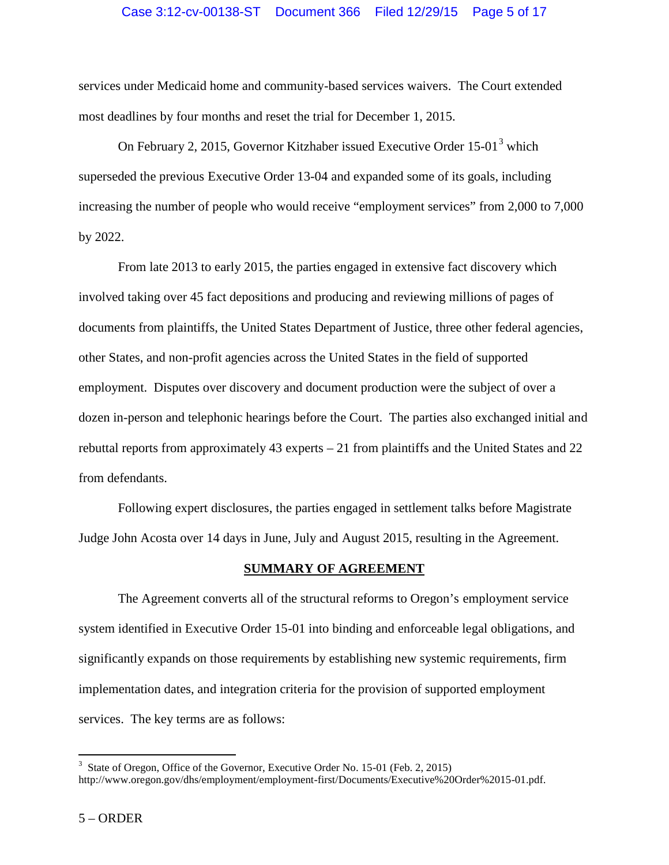services under Medicaid home and community-based services waivers. The Court extended most deadlines by four months and reset the trial for December 1, 2015.

On February 2, 2015, Governor Kitzhaber issued Executive Order 15-01<sup>3</sup> which superseded the previous Executive Order 13-04 and expanded some of its goals, including increasing the number of people who would receive "employment services" from 2,000 to 7,000 by 2022.<br>From late 2013 to early 2015, the parties engaged in extensive fact discovery which

involved taking over 45 fact depositions and producing and reviewing millions of pages of documents from plaintiffs, the United States Department of Justice, three other federal agencies, other States, and non-profit agencies across the United States in the field of supported employment. Disputes over discovery and document production were the subject of over a dozen in-person and telephonic hearings before the Court. The parties also exchanged initial and rebuttal reports from approximately 43 experts – 21 from plaintiffs and the United States and 22 from defendants.

Following expert disclosures, the parties engaged in settlement talks before Magistrate Judge John Acosta over 14 days in June, July and August 2015, resulting in the Agreement.

#### **SUMMARY OF AGREEMENT**

The Agreement converts all of the structural reforms to Oregon's employment service system identified in Executive Order 15-01 into binding and enforceable legal obligations, and significantly expands on those requirements by establishing new systemic requirements, firm implementation dates, and integration criteria for the provision of supported employment services. The key terms are as follows:

<sup>&</sup>lt;sup>3</sup> State of Oregon, Office of the Governor, Executive Order No. 15-01 (Feb. 2, 2015) http://www.oregon.gov/dhs/employment/employment-first/Documents/Executive%20Order%2015-01.pdf.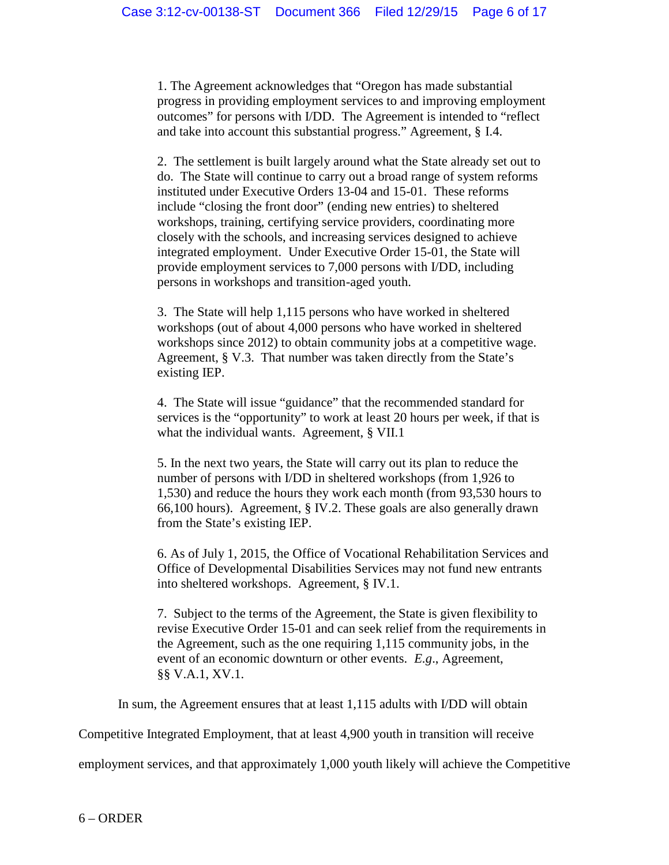1. The Agreement acknowledges that "Oregon has made substantial progress in providing employment services to and improving employment outcomes" for persons with I/DD. The Agreement is intended to "reflect and take into account this substantial progress." Agreement, § I.4.

2. The settlement is built largely around what the State already set out to do. The State will continue to carry out a broad range of system reforms instituted under Executive Orders 13-04 and 15-01. These reforms include "closing the front door" (ending new entries) to sheltered workshops, training, certifying service providers, coordinating more closely with the schools, and increasing services designed to achieve integrated employment. Under Executive Order 15-01, the State will provide employment services to 7,000 persons with I/DD, including persons in workshops and transition-aged youth.

3. The State will help 1,115 persons who have worked in sheltered workshops (out of about 4,000 persons who have worked in sheltered workshops since 2012) to obtain community jobs at a competitive wage. Agreement, § V.3. That number was taken directly from the State's existing IEP.

4. The State will issue "guidance" that the recommended standard for services is the "opportunity" to work at least 20 hours per week, if that is what the individual wants. Agreement, § VII.1

5. In the next two years, the State will carry out its plan to reduce the number of persons with I/DD in sheltered workshops (from 1,926 to 1,530) and reduce the hours they work each month (from 93,530 hours to 66,100 hours). Agreement, § IV.2. These goals are also generally drawn from the State's existing IEP.

6. As of July 1, 2015, the Office of Vocational Rehabilitation Services and Office of Developmental Disabilities Services may not fund new entrants into sheltered workshops. Agreement, § IV.1.

7. Subject to the terms of the Agreement, the State is given flexibility to revise Executive Order 15-01 and can seek relief from the requirements in the Agreement, such as the one requiring 1,115 community jobs, in the event of an economic downturn or other events. *E.g*., Agreement, §§ V.A.1, XV.1.

In sum, the Agreement ensures that at least 1,115 adults with I/DD will obtain

Competitive Integrated Employment, that at least 4,900 youth in transition will receive

employment services, and that approximately 1,000 youth likely will achieve the Competitive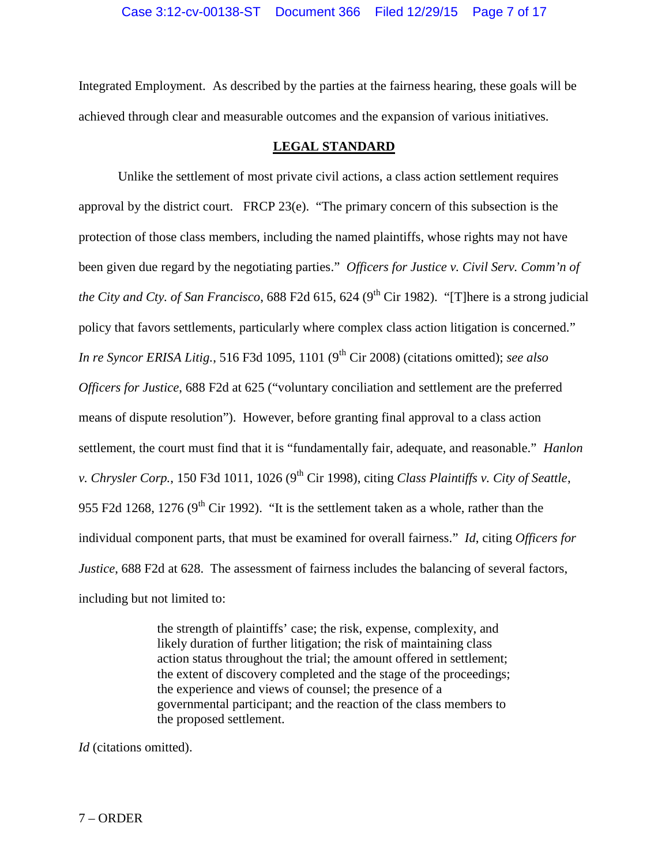Integrated Employment. As described by the parties at the fairness hearing, these goals will be achieved through clear and measurable outcomes and the expansion of various initiatives.

### **LEGAL STANDARD**

Unlike the settlement of most private civil actions, a class action settlement requires approval by the district court. FRCP 23(e). "The primary concern of this subsection is the protection of those class members, including the named plaintiffs, whose rights may not have been given due regard by the negotiating parties." *Officers for Justice v. Civil Serv. Comm'n of the City and Cty. of San Francisco*, 688 F2d 615, 624 (9<sup>th</sup> Cir 1982). "[T]here is a strong judicial policy that favors settlements, particularly where complex class action litigation is concerned." *In re Syncor ERISA Litig.*, 516 F3d 1095, 1101 (9<sup>th</sup> Cir 2008) (citations omitted); *see also Officers for Justice*, 688 F2d at 625 ("voluntary conciliation and settlement are the preferred means of dispute resolution"). However, before granting final approval to a class action settlement, the court must find that it is "fundamentally fair, adequate, and reasonable." *Hanlon* v. Chrysler Corp., 150 F3d 1011, 1026 (9<sup>th</sup> Cir 1998), citing *Class Plaintiffs v. City of Seattle*, 955 F2d 1268, 1276 ( $9<sup>th</sup>$  Cir 1992). "It is the settlement taken as a whole, rather than the individual component parts, that must be examined for overall fairness." *Id*, citing *Officers for Justice*, 688 F2d at 628. The assessment of fairness includes the balancing of several factors, including but not limited to:

> the strength of plaintiffs' case; the risk, expense, complexity, and likely duration of further litigation; the risk of maintaining class action status throughout the trial; the amount offered in settlement; the extent of discovery completed and the stage of the proceedings; the experience and views of counsel; the presence of a governmental participant; and the reaction of the class members to the proposed settlement.

*Id* (citations omitted).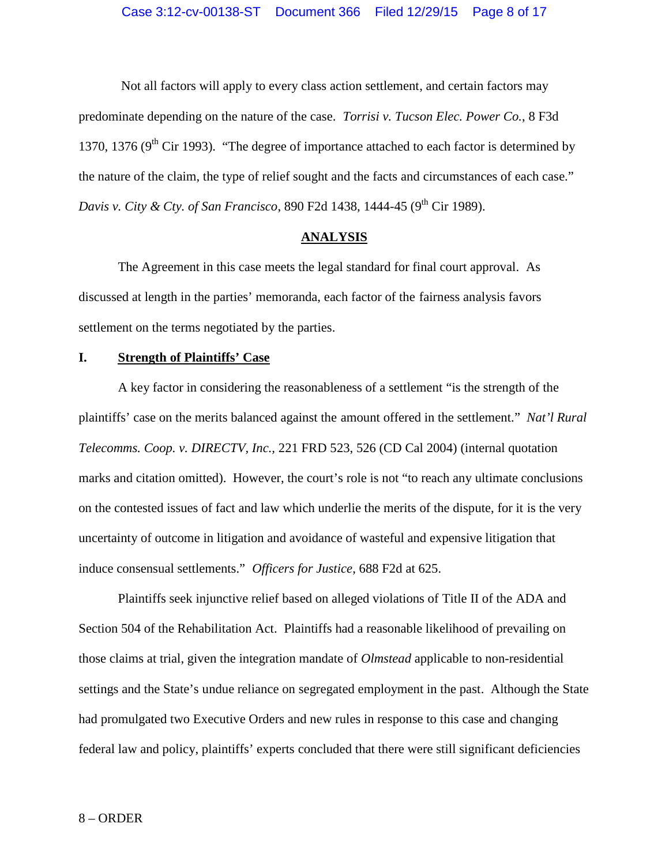Not all factors will apply to every class action settlement, and certain factors may predominate depending on the nature of the case. *Torrisi v. Tucson Elec. Power Co.*, 8 F3d 1370, 1376 ( $9<sup>th</sup>$  Cir 1993). "The degree of importance attached to each factor is determined by the nature of the claim, the type of relief sought and the facts and circumstances of each case." *Davis v. City & Cty. of San Francisco*, 890 F2d 1438, 1444-45 (9 th Cir 1989).

### **ANALYSIS**

The Agreement in this case meets the legal standard for final court approval. As discussed at length in the parties' memoranda, each factor of the fairness analysis favors settlement on the terms negotiated by the parties.

### **I. Strength of Plaintiffs' Case**

A key factor in considering the reasonableness of a settlement "is the strength of the plaintiffs' case on the merits balanced against the amount offered in the settlement." *Nat'l Rural Telecomms. Coop. v. DIRECTV, Inc.,* 221 FRD 523, 526 (CD Cal 2004) (internal quotation marks and citation omitted). However, the court's role is not "to reach any ultimate conclusions on the contested issues of fact and law which underlie the merits of the dispute, for it is the very uncertainty of outcome in litigation and avoidance of wasteful and expensive litigation that induce consensual settlements." *Officers for Justice*, 688 F2d at 625.

Plaintiffs seek injunctive relief based on alleged violations of Title II of the ADA and Section 504 of the Rehabilitation Act. Plaintiffs had a reasonable likelihood of prevailing on those claims at trial, given the integration mandate of *Olmstead* applicable to non-residential settings and the State's undue reliance on segregated employment in the past. Although the State had promulgated two Executive Orders and new rules in response to this case and changing federal law and policy, plaintiffs' experts concluded that there were still significant deficiencies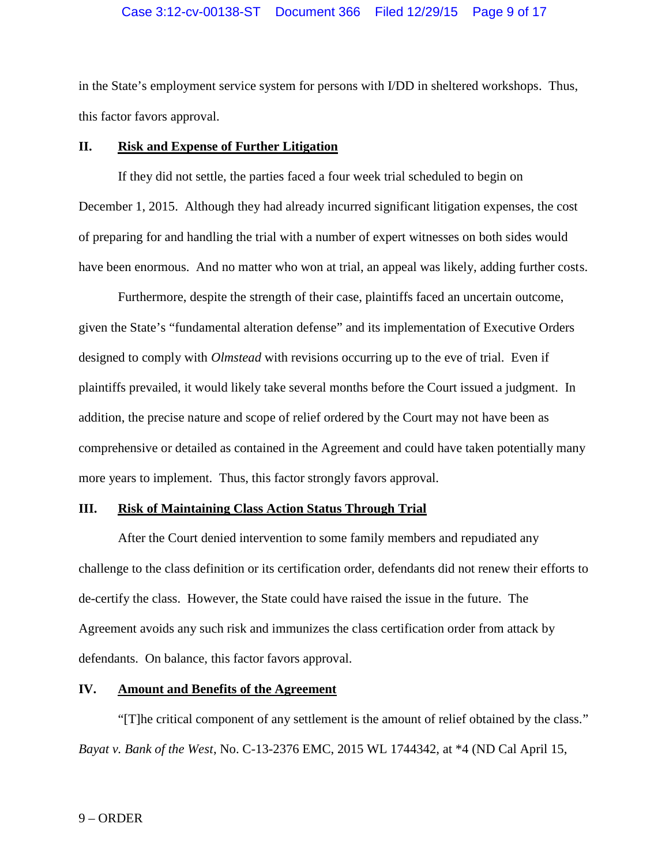in the State's employment service system for persons with I/DD in sheltered workshops. Thus, this factor favors approval.

### **II. Risk and Expense of Further Litigation**

If they did not settle, the parties faced a four week trial scheduled to begin on December 1, 2015. Although they had already incurred significant litigation expenses, the cost of preparing for and handling the trial with a number of expert witnesses on both sides would have been enormous. And no matter who won at trial, an appeal was likely, adding further costs.

Furthermore, despite the strength of their case, plaintiffs faced an uncertain outcome, given the State's "fundamental alteration defense" and its implementation of Executive Orders designed to comply with *Olmstead* with revisions occurring up to the eve of trial. Even if plaintiffs prevailed, it would likely take several months before the Court issued a judgment. In addition, the precise nature and scope of relief ordered by the Court may not have been as comprehensive or detailed as contained in the Agreement and could have taken potentially many more years to implement. Thus, this factor strongly favors approval.

### **III. Risk of Maintaining Class Action Status Through Trial**

After the Court denied intervention to some family members and repudiated any challenge to the class definition or its certification order, defendants did not renew their efforts to de-certify the class. However, the State could have raised the issue in the future. The Agreement avoids any such risk and immunizes the class certification order from attack by defendants. On balance, this factor favors approval.

### **IV. Amount and Benefits of the Agreement**

"[T]he critical component of any settlement is the amount of relief obtained by the class." *Bayat v. Bank of the West*, No. C-13-2376 EMC, 2015 WL 1744342, at \*4 (ND Cal April 15,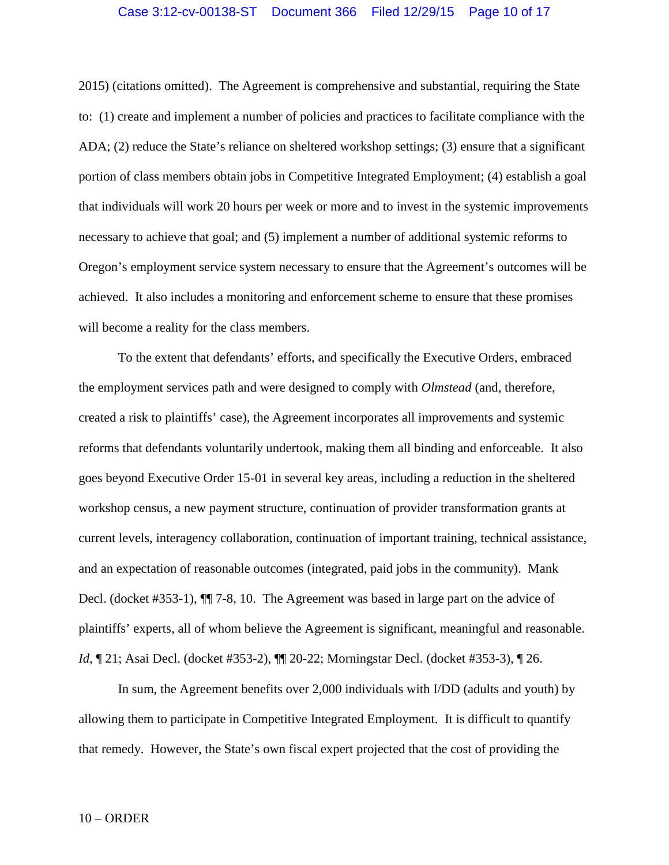### Case 3:12-cv-00138-ST Document 366 Filed 12/29/15 Page 10 of 17

2015) (citations omitted). The Agreement is comprehensive and substantial, requiring the State to: (1) create and implement a number of policies and practices to facilitate compliance with the ADA; (2) reduce the State's reliance on sheltered workshop settings; (3) ensure that a significant portion of class members obtain jobs in Competitive Integrated Employment; (4) establish a goal that individuals will work 20 hours per week or more and to invest in the systemic improvements necessary to achieve that goal; and (5) implement a number of additional systemic reforms to Oregon's employment service system necessary to ensure that the Agreement's outcomes will be achieved. It also includes a monitoring and enforcement scheme to ensure that these promises will become a reality for the class members.

To the extent that defendants' efforts, and specifically the Executive Orders, embraced the employment services path and were designed to comply with *Olmstead* (and, therefore, created a risk to plaintiffs' case), the Agreement incorporates all improvements and systemic reforms that defendants voluntarily undertook, making them all binding and enforceable. It also goes beyond Executive Order 15-01 in several key areas, including a reduction in the sheltered workshop census, a new payment structure, continuation of provider transformation grants at current levels, interagency collaboration, continuation of important training, technical assistance, and an expectation of reasonable outcomes (integrated, paid jobs in the community). Mank Decl. (docket #353-1), ¶¶ 7-8, 10. The Agreement was based in large part on the advice of plaintiffs' experts, all of whom believe the Agreement is significant, meaningful and reasonable. *Id*,  $\mathbb{Z}$ 1; Asai Decl. (docket #353-2),  $\mathbb{Z}$  20-22; Morningstar Decl. (docket #353-3),  $\mathbb{Z}$  26.

In sum, the Agreement benefits over 2,000 individuals with I/DD (adults and youth) by allowing them to participate in Competitive Integrated Employment. It is difficult to quantify that remedy. However, the State's own fiscal expert projected that the cost of providing the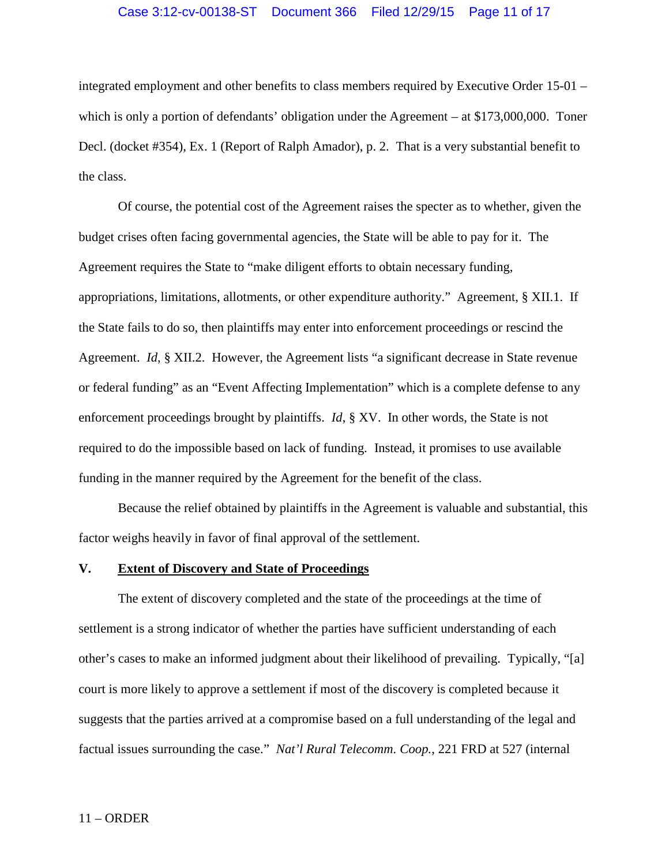#### Case 3:12-cv-00138-ST Document 366 Filed 12/29/15 Page 11 of 17

integrated employment and other benefits to class members required by Executive Order 15-01 – which is only a portion of defendants' obligation under the Agreement – at \$173,000,000. Toner Decl. (docket #354), Ex. 1 (Report of Ralph Amador), p. 2. That is a very substantial benefit to the class.

Of course, the potential cost of the Agreement raises the specter as to whether, given the budget crises often facing governmental agencies, the State will be able to pay for it. The Agreement requires the State to "make diligent efforts to obtain necessary funding, appropriations, limitations, allotments, or other expenditure authority." Agreement, § XII.1. If the State fails to do so, then plaintiffs may enter into enforcement proceedings or rescind the Agreement. *Id*, § XII.2. However, the Agreement lists "a significant decrease in State revenue or federal funding" as an "Event Affecting Implementation" which is a complete defense to any enforcement proceedings brought by plaintiffs. *Id*, § XV. In other words, the State is not required to do the impossible based on lack of funding. Instead, it promises to use available funding in the manner required by the Agreement for the benefit of the class.

Because the relief obtained by plaintiffs in the Agreement is valuable and substantial, this factor weighs heavily in favor of final approval of the settlement.

#### **V. Extent of Discovery and State of Proceedings**

The extent of discovery completed and the state of the proceedings at the time of settlement is a strong indicator of whether the parties have sufficient understanding of each other's cases to make an informed judgment about their likelihood of prevailing. Typically, "[a] court is more likely to approve a settlement if most of the discovery is completed because it suggests that the parties arrived at a compromise based on a full understanding of the legal and factual issues surrounding the case." *Nat'l Rural Telecomm. Coop.*, 221 FRD at 527 (internal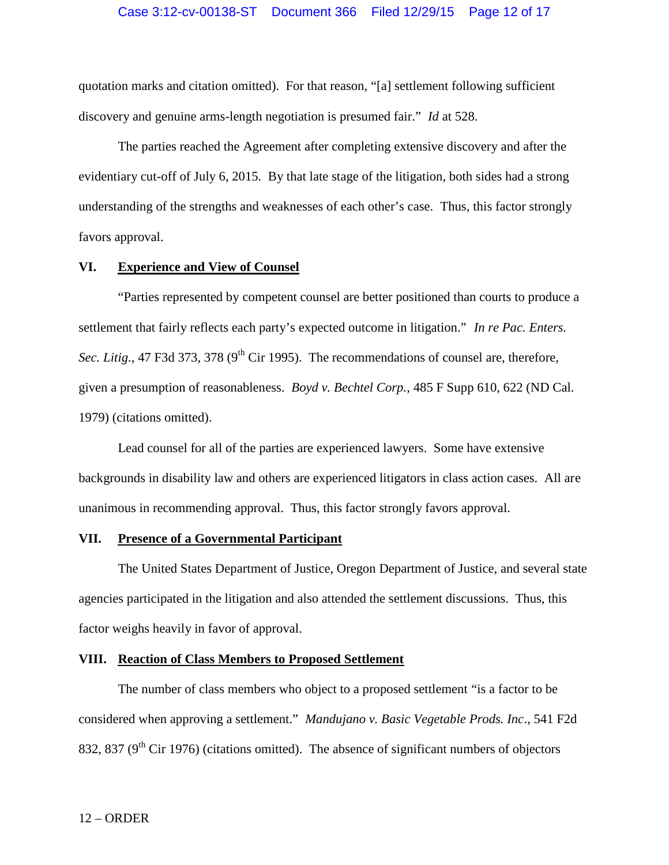quotation marks and citation omitted). For that reason, "[a] settlement following sufficient discovery and genuine arms-length negotiation is presumed fair." *Id* at 528.

The parties reached the Agreement after completing extensive discovery and after the evidentiary cut-off of July 6, 2015. By that late stage of the litigation, both sides had a strong understanding of the strengths and weaknesses of each other's case. Thus, this factor strongly favors approval.

#### **VI. Experience and View of Counsel**

"Parties represented by competent counsel are better positioned than courts to produce a settlement that fairly reflects each party's expected outcome in litigation." *In re Pac. Enters. Sec. Litig.*, 47 F3d 373, 378 (9<sup>th</sup> Cir 1995). The recommendations of counsel are, therefore, given a presumption of reasonableness. *Boyd v. Bechtel Corp.,* 485 F Supp 610, 622 (ND Cal. 1979) (citations omitted).

Lead counsel for all of the parties are experienced lawyers. Some have extensive backgrounds in disability law and others are experienced litigators in class action cases. All are unanimous in recommending approval. Thus, this factor strongly favors approval.

### **VII. Presence of a Governmental Participant**

The United States Department of Justice, Oregon Department of Justice, and several state agencies participated in the litigation and also attended the settlement discussions. Thus, this factor weighs heavily in favor of approval.

### **VIII. Reaction of Class Members to Proposed Settlement**

The number of class members who object to a proposed settlement "is a factor to be considered when approving a settlement." *Mandujano v. Basic Vegetable Prods. Inc*., 541 F2d 832, 837 ( $9<sup>th</sup>$  Cir 1976) (citations omitted). The absence of significant numbers of objectors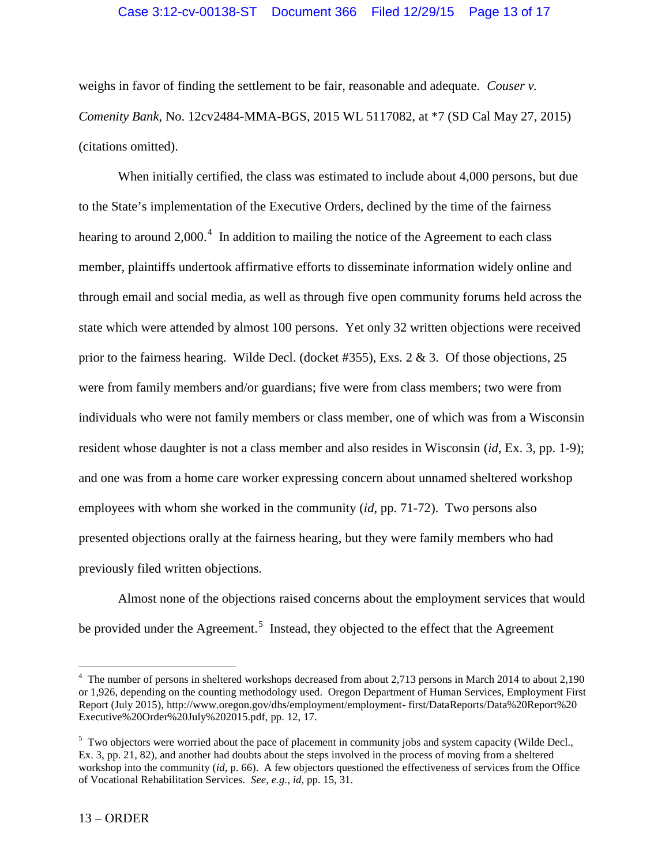### Case 3:12-cv-00138-ST Document 366 Filed 12/29/15 Page 13 of 17

weighs in favor of finding the settlement to be fair, reasonable and adequate. *Couser v. Comenity Bank*, No. 12cv2484-MMA-BGS, 2015 WL 5117082, at \*7 (SD Cal May 27, 2015) (citations omitted).

When initially certified, the class was estimated to include about 4,000 persons, but due to the State's implementation of the Executive Orders, declined by the time of the fairness hearing to around 2,000.<sup>4</sup> In addition to mailing the notice of the Agreement to each class member, plaintiffs undertook affirmative efforts to disseminate information widely online and through email and social media, as well as through five open community forums held across the state which were attended by almost 100 persons. Yet only 32 written objections were received prior to the fairness hearing. Wilde Decl. (docket #355), Exs. 2 & 3. Of those objections, 25 were from family members and/or guardians; five were from class members; two were from individuals who were not family members or class member, one of which was from a Wisconsin resident whose daughter is not a class member and also resides in Wisconsin (*id*, Ex. 3, pp. 1-9); and one was from a home care worker expressing concern about unnamed sheltered workshop employees with whom she worked in the community (*id*, pp. 71-72). Two persons also presented objections orally at the fairness hearing, but they were family members who had previously filed written objections.

Almost none of the objections raised concerns about the employment services that would be provided under the Agreement.<sup>5</sup> Instead, they objected to the effect that the Agreement

<sup>&</sup>lt;sup>4</sup> The number of persons in sheltered workshops decreased from about 2,713 persons in March 2014 to about 2,190 or 1,926, depending on the counting methodology used. Oregon Department of Human Services, Employment First Report (July 2015), http://www.oregon.gov/dhs/employment/employment- first/DataReports/Data%20Report%20 Executive%20Order%20July%202015.pdf, pp. 12, 17.

<sup>&</sup>lt;sup>5</sup> Two objectors were worried about the pace of placement in community jobs and system capacity (Wilde Decl., Ex. 3, pp. 21, 82), and another had doubts about the steps involved in the process of moving from a sheltered workshop into the community (*id*, p. 66). A few objectors questioned the effectiveness of services from the Office of Vocational Rehabilitation Services. *See, e.g.*, *id*, pp. 15, 31.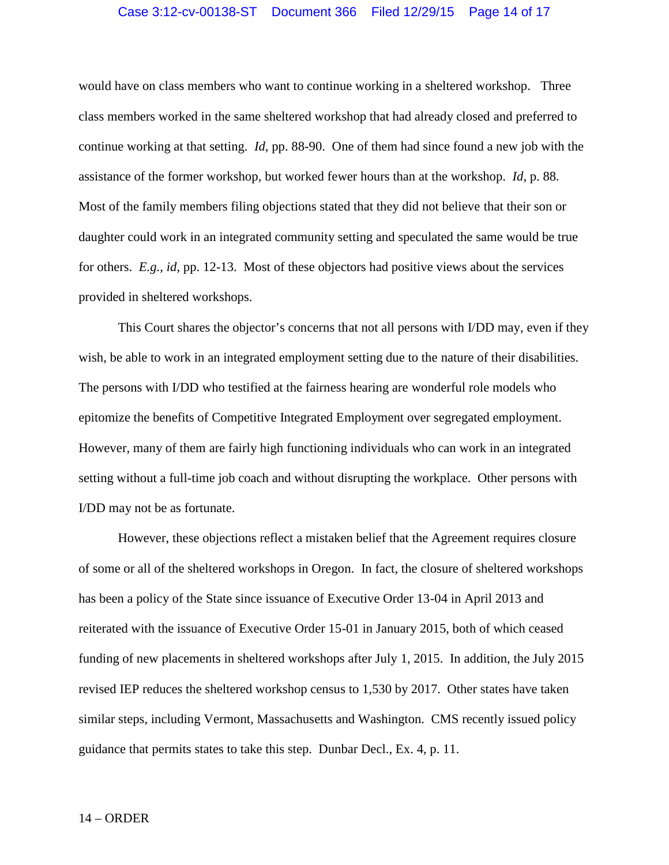### Case 3:12-cv-00138-ST Document 366 Filed 12/29/15 Page 14 of 17

would have on class members who want to continue working in a sheltered workshop. Three class members worked in the same sheltered workshop that had already closed and preferred to continue working at that setting. *Id*, pp. 88-90. One of them had since found a new job with the assistance of the former workshop, but worked fewer hours than at the workshop. *Id*, p. 88. Most of the family members filing objections stated that they did not believe that their son or daughter could work in an integrated community setting and speculated the same would be true for others. *E.g., id*, pp. 12-13. Most of these objectors had positive views about the services provided in sheltered workshops.

This Court shares the objector's concerns that not all persons with I/DD may, even if they wish, be able to work in an integrated employment setting due to the nature of their disabilities. The persons with I/DD who testified at the fairness hearing are wonderful role models who epitomize the benefits of Competitive Integrated Employment over segregated employment. However, many of them are fairly high functioning individuals who can work in an integrated setting without a full-time job coach and without disrupting the workplace. Other persons with I/DD may not be as fortunate.

However, these objections reflect a mistaken belief that the Agreement requires closure of some or all of the sheltered workshops in Oregon. In fact, the closure of sheltered workshops has been a policy of the State since issuance of Executive Order 13-04 in April 2013 and reiterated with the issuance of Executive Order 15-01 in January 2015, both of which ceased funding of new placements in sheltered workshops after July 1, 2015. In addition, the July 2015 revised IEP reduces the sheltered workshop census to 1,530 by 2017. Other states have taken similar steps, including Vermont, Massachusetts and Washington. CMS recently issued policy guidance that permits states to take this step. Dunbar Decl., Ex. 4, p. 11.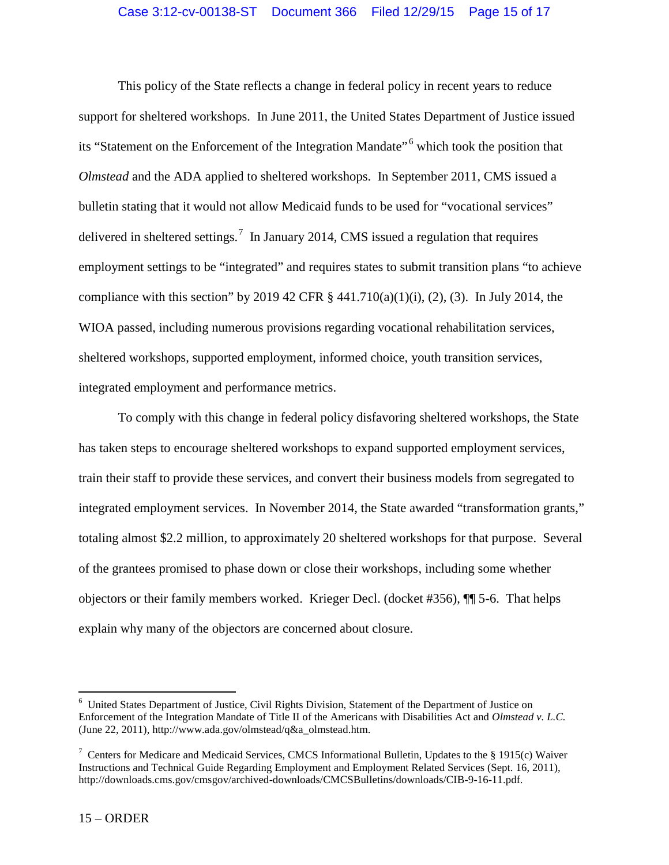This policy of the State reflects a change in federal policy in recent years to reduce support for sheltered workshops. In June 2011, the United States Department of Justice issued its "Statement on the Enforcement of the Integration Mandate" <sup>6</sup> which took the position that *Olmstead* and the ADA applied to sheltered workshops. In September 2011, CMS issued a bulletin stating that it would not allow Medicaid funds to be used for "vocational services" delivered in sheltered settings.<sup>7</sup> In January 2014, CMS issued a regulation that requires employment settings to be "integrated" and requires states to submit transition plans "to achieve compliance with this section" by 2019 42 CFR  $\S$  441.710(a)(1)(i), (2), (3). In July 2014, the WIOA passed, including numerous provisions regarding vocational rehabilitation services, sheltered workshops, supported employment, informed choice, youth transition services, integrated employment and performance metrics.

To comply with this change in federal policy disfavoring sheltered workshops, the State has taken steps to encourage sheltered workshops to expand supported employment services, train their staff to provide these services, and convert their business models from segregated to integrated employment services. In November 2014, the State awarded "transformation grants," totaling almost \$2.2 million, to approximately 20 sheltered workshops for that purpose. Several of the grantees promised to phase down or close their workshops, including some whether objectors or their family members worked. Krieger Decl. (docket #356), ¶¶ 5-6. That helps explain why many of the objectors are concerned about closure.

<sup>6</sup> United States Department of Justice, Civil Rights Division, Statement of the Department of Justice on Enforcement of the Integration Mandate of Title II of the Americans with Disabilities Act and *Olmstead v. L.C.* (June 22, 2011), http://www.ada.gov/olmstead/q&a\_olmstead.htm.

<sup>&</sup>lt;sup>7</sup> Centers for Medicare and Medicaid Services, CMCS Informational Bulletin, Updates to the § 1915(c) Waiver Instructions and Technical Guide Regarding Employment and Employment Related Services (Sept. 16, 2011), http://downloads.cms.gov/cmsgov/archived-downloads/CMCSBulletins/downloads/CIB-9-16-11.pdf.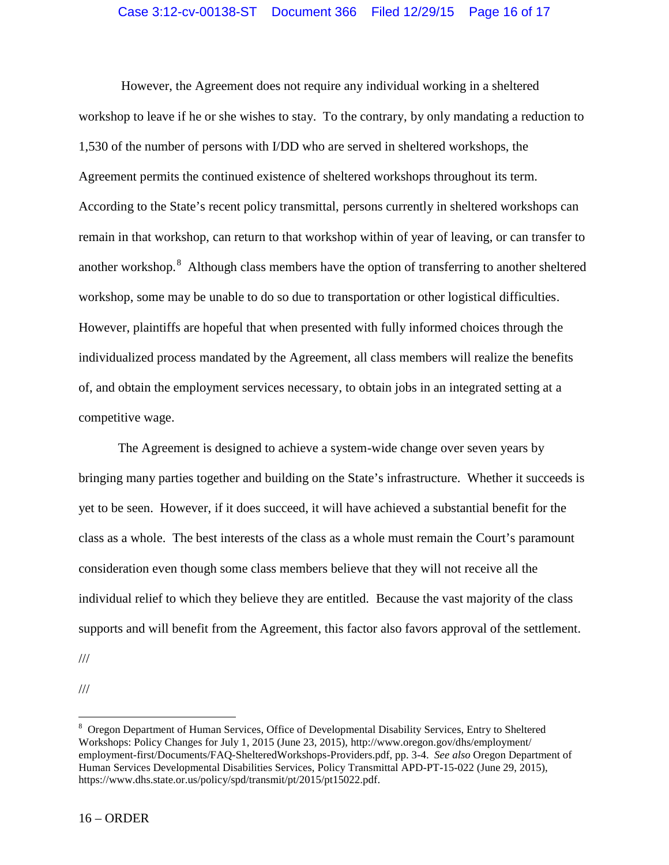However, the Agreement does not require any individual working in a sheltered workshop to leave if he or she wishes to stay. To the contrary, by only mandating a reduction to 1,530 of the number of persons with I/DD who are served in sheltered workshops, the Agreement permits the continued existence of sheltered workshops throughout its term. According to the State's recent policy transmittal, persons currently in sheltered workshops can remain in that workshop, can return to that workshop within of year of leaving, or can transfer to another workshop.<sup>8</sup> Although class members have the option of transferring to another sheltered workshop, some may be unable to do so due to transportation or other logistical difficulties. However, plaintiffs are hopeful that when presented with fully informed choices through the individualized process mandated by the Agreement, all class members will realize the benefits of, and obtain the employment services necessary, to obtain jobs in an integrated setting at a competitive wage.

The Agreement is designed to achieve a system-wide change over seven years by bringing many parties together and building on the State's infrastructure. Whether it succeeds is yet to be seen. However, if it does succeed, it will have achieved a substantial benefit for the class as a whole. The best interests of the class as a whole must remain the Court's paramount consideration even though some class members believe that they will not receive all the individual relief to which they believe they are entitled. Because the vast majority of the class supports and will benefit from the Agreement, this factor also favors approval of the settlement.

///

<sup>///</sup>

<sup>8</sup> Oregon Department of Human Services, Office of Developmental Disability Services, Entry to Sheltered Workshops: Policy Changes for July 1, 2015 (June 23, 2015), http://www.oregon.gov/dhs/employment/ employment-first/Documents/FAQ-ShelteredWorkshops-Providers.pdf, pp. 3-4. *See also* Oregon Department of Human Services Developmental Disabilities Services, Policy Transmittal APD-PT-15-022 (June 29, 2015), https://www.dhs.state.or.us/policy/spd/transmit/pt/2015/pt15022.pdf.